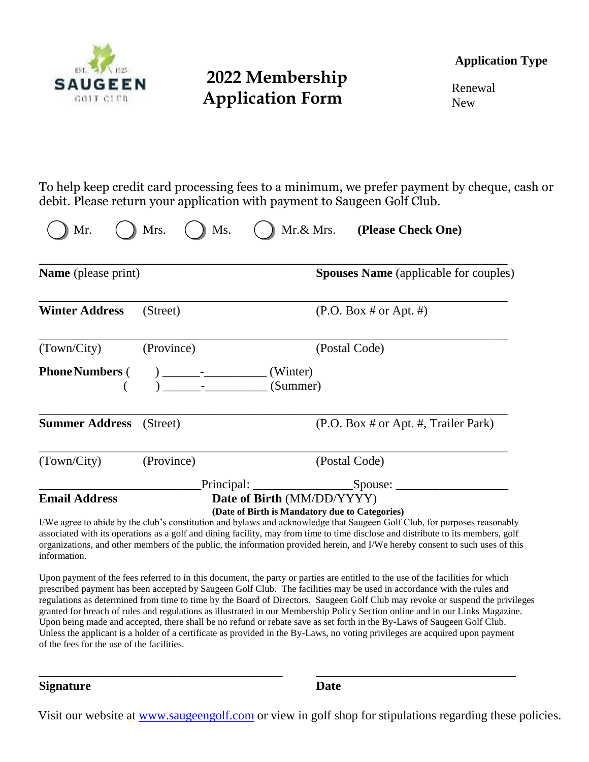

### **2022 Membership Application Form**

**Application Type**

Renewal New

To help keep credit card processing fees to a minimum, we prefer payment by cheque, cash or debit. Please return your application with payment to Saugeen Golf Club.

| <b>Name</b> (please print) |                                                                                                                                                                                                                                                                                                                                                                                        |  |                            | <b>Spouses Name</b> (applicable for couples) |                                                                                                                                                                                                                                                                                                                 |  |
|----------------------------|----------------------------------------------------------------------------------------------------------------------------------------------------------------------------------------------------------------------------------------------------------------------------------------------------------------------------------------------------------------------------------------|--|----------------------------|----------------------------------------------|-----------------------------------------------------------------------------------------------------------------------------------------------------------------------------------------------------------------------------------------------------------------------------------------------------------------|--|
| <b>Winter Address</b>      | (Street)                                                                                                                                                                                                                                                                                                                                                                               |  |                            |                                              | (P.O. Box # or Apt. #)                                                                                                                                                                                                                                                                                          |  |
| (Town/City)                | (Province)                                                                                                                                                                                                                                                                                                                                                                             |  |                            |                                              | (Postal Code)                                                                                                                                                                                                                                                                                                   |  |
| <b>Phone Numbers</b> (     | $\begin{array}{c}\n\frac{1}{2} & -\frac{1}{2} & -\frac{1}{2} & -\frac{1}{2} & -\frac{1}{2} & -\frac{1}{2} & -\frac{1}{2} & -\frac{1}{2} & -\frac{1}{2} & -\frac{1}{2} & -\frac{1}{2} & -\frac{1}{2} & -\frac{1}{2} & -\frac{1}{2} & -\frac{1}{2} & -\frac{1}{2} & -\frac{1}{2} & -\frac{1}{2} & -\frac{1}{2} & -\frac{1}{2} & -\frac{1}{2} & -\frac{1}{2} & -\frac{1}{2} & -\frac{1}{$ |  | (Winter)<br>(Summer)       |                                              |                                                                                                                                                                                                                                                                                                                 |  |
| <b>Summer Address</b>      | (Street)                                                                                                                                                                                                                                                                                                                                                                               |  |                            |                                              | (P.O. Box # or Apt. #, Trailer Park)                                                                                                                                                                                                                                                                            |  |
| (Town/City)                | (Province)                                                                                                                                                                                                                                                                                                                                                                             |  |                            |                                              | (Postal Code)                                                                                                                                                                                                                                                                                                   |  |
|                            |                                                                                                                                                                                                                                                                                                                                                                                        |  |                            |                                              |                                                                                                                                                                                                                                                                                                                 |  |
| <b>Email Address</b>       |                                                                                                                                                                                                                                                                                                                                                                                        |  | Date of Birth (MM/DD/YYYY) |                                              | (Date of Birth is Mandatory due to Categories)<br>I/We agree to abide by the club's constitution and bylaws and acknowledge that Saugeen Golf Club, for purposes reasonably<br>associated with its operations as a golf and dining facility, may from time to time disclose and distribute to its members, golf |  |

associated with its operations as a golf and dining facility, may from time to time disclose and distribute to its members, golf organizations, and other members of the public, the information provided herein, and I/We hereby consent to such uses of this information.

Upon payment of the fees referred to in this document, the party or parties are entitled to the use of the facilities for which prescribed payment has been accepted by Saugeen Golf Club. The facilities may be used in accordance with the rules and regulations as determined from time to time by the Board of Directors. Saugeen Golf Club may revoke or suspend the privileges granted for breach of rules and regulations as illustrated in our Membership Policy Section online and in our Links Magazine. Upon being made and accepted, there shall be no refund or rebate save as set forth in the By-Laws of Saugeen Golf Club. Unless the applicant is a holder of a certificate as provided in the By-Laws, no voting privileges are acquired upon payment of the fees for the use of the facilities.

\_\_\_\_\_\_\_\_\_\_\_\_\_\_\_\_\_\_\_\_\_\_\_\_\_\_\_\_\_\_\_\_\_\_\_\_\_\_\_ \_\_\_\_\_\_\_\_\_\_\_\_\_\_\_\_\_\_\_\_\_\_\_\_\_\_\_\_\_\_\_\_

**Signature Date**

Visit our website at [www.saugeengolf.com](http://www.saugeengolf.com/) or view in golf shop for stipulations regarding these policies.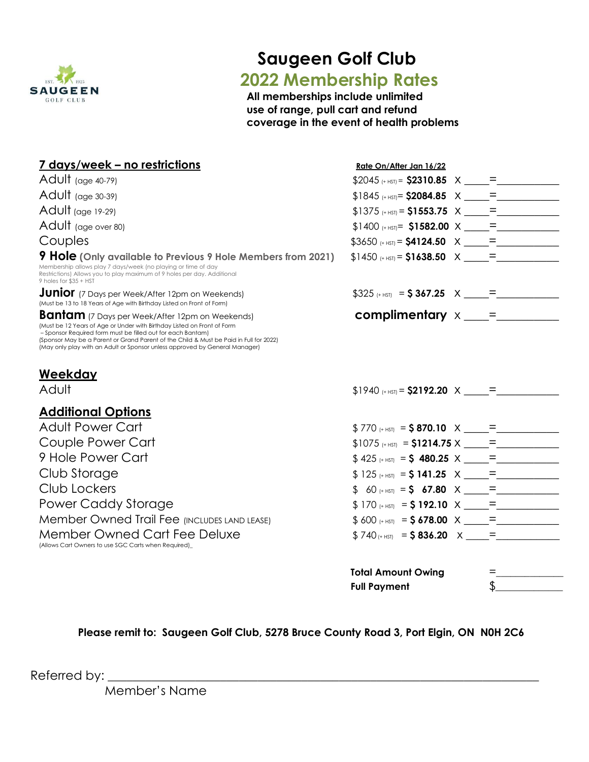

# **Saugeen Golf Club**

## **2022 Membership Rates**

**All memberships include unlimited use of range, pull cart and refund coverage in the event of health problems**

| <u>7 days/week – no restrictions</u>                                                                                                                                                                                                                                                                                                                                      | Rate On/After Jan 16/22                  |     |
|---------------------------------------------------------------------------------------------------------------------------------------------------------------------------------------------------------------------------------------------------------------------------------------------------------------------------------------------------------------------------|------------------------------------------|-----|
| Adult (age 40-79)                                                                                                                                                                                                                                                                                                                                                         | $$2045$ (+ HST) = $$2310.85$ X = =       |     |
| Adult $(age 30-39)$                                                                                                                                                                                                                                                                                                                                                       |                                          |     |
| Adult (age 19-29)                                                                                                                                                                                                                                                                                                                                                         |                                          |     |
| Adult (age over 80)                                                                                                                                                                                                                                                                                                                                                       | $$1400$ (+ HST) <b>= \$1582.00</b> X = = |     |
| Couples                                                                                                                                                                                                                                                                                                                                                                   |                                          |     |
| <b>9 Hole</b> (Only available to Previous 9 Hole Members from 2021)<br>Membership allows play 7 days/week (no playing or time of day<br>Restrictions) Allows you to play maximum of 9 holes per day. Additional<br>9 holes for \$35 + HST                                                                                                                                 | $$1450$ (+ HST) = <b>\$1638.50</b> $X =$ |     |
| <b>Junior</b> (7 Days per Week/After 12pm on Weekends)<br>(Must be 13 to 18 Years of Age with Birthday Listed on Front of Form)                                                                                                                                                                                                                                           | $$325$ (+ HST) = $$367.25$ X = =         |     |
| <b>Bantam</b> (7 Days per Week/After 12pm on Weekends)<br>(Must be 12 Years of Age or Under with Birthday Listed on Front of Form<br>- Sponsor Required form must be filled out for each Bantam)<br>(Sponsor May be a Parent or Grand Parent of the Child & Must be Paid in Full for 2022)<br>(May only play with an Adult or Sponsor unless approved by General Manager) | $complimentary x _$                      |     |
| Weekday<br>Adult                                                                                                                                                                                                                                                                                                                                                          |                                          |     |
|                                                                                                                                                                                                                                                                                                                                                                           | $$1940_{(+HS)}$ = \$2192.20 X = =        |     |
| <b>Additional Options</b>                                                                                                                                                                                                                                                                                                                                                 |                                          |     |
| <b>Adult Power Cart</b>                                                                                                                                                                                                                                                                                                                                                   | $$770$ (+ HST) = \$870.10 X =            |     |
| Couple Power Cart                                                                                                                                                                                                                                                                                                                                                         |                                          |     |
| 9 Hole Power Cart                                                                                                                                                                                                                                                                                                                                                         | $$425_{(+HS)} = $480.25 \times \_ = ]$   |     |
| Club Storage                                                                                                                                                                                                                                                                                                                                                              | $$125_{(+15)} = $141.25 \times 7 =$      |     |
| Club Lockers                                                                                                                                                                                                                                                                                                                                                              | $$60_{ (+ HST)} = $67.80 \times \_ =$    |     |
| Power Caddy Storage                                                                                                                                                                                                                                                                                                                                                       | $$170_{(+HS)} = $192.10 \times \_ =$     |     |
| Member Owned Trail Fee (INCLUDES LAND LEASE)                                                                                                                                                                                                                                                                                                                              | $$600$ (+ HST) = $$678.00 \times \_ =$ = |     |
| <b>Member Owned Cart Fee Deluxe</b><br>(Allows Cart Owners to use SGC Carts when Required)_                                                                                                                                                                                                                                                                               | $$740_{ (+ HST)} = $836.20 \times 7 =$   |     |
|                                                                                                                                                                                                                                                                                                                                                                           | <b>Total Amount Owing</b>                | $=$ |

**Please remit to: Saugeen Golf Club, 5278 Bruce County Road 3, Port Elgin, ON N0H 2C6**

**Full Payment** \$\_\_\_\_\_\_\_\_\_\_\_\_\_\_

Referred by: \_\_\_\_\_\_\_\_\_\_\_\_\_\_\_\_\_\_\_\_\_\_\_\_\_\_\_\_\_\_\_\_\_\_\_\_\_\_\_\_\_\_\_\_\_\_\_\_\_\_\_\_\_\_\_\_\_\_\_\_\_\_\_\_\_\_\_\_\_

Member's Name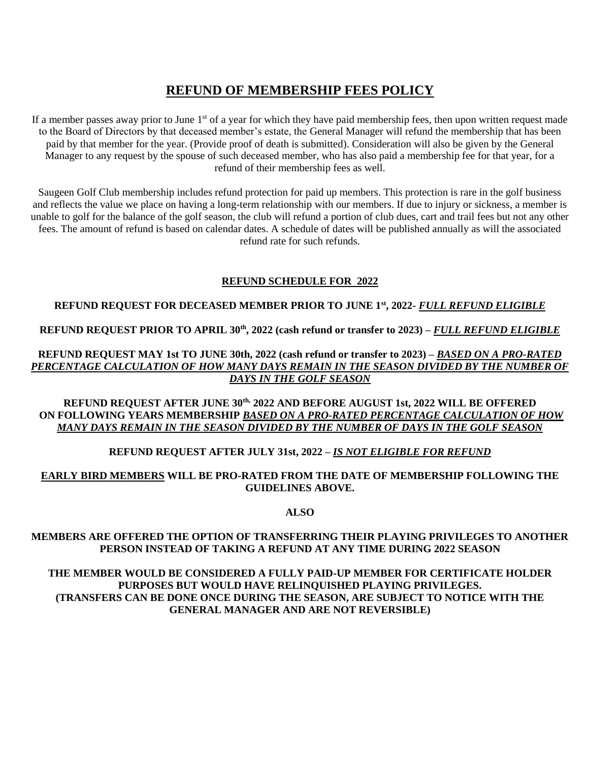### **REFUND OF MEMBERSHIP FEES POLICY**

If a member passes away prior to June  $1<sup>st</sup>$  of a year for which they have paid membership fees, then upon written request made to the Board of Directors by that deceased member's estate, the General Manager will refund the membership that has been paid by that member for the year. (Provide proof of death is submitted). Consideration will also be given by the General Manager to any request by the spouse of such deceased member, who has also paid a membership fee for that year, for a refund of their membership fees as well.

Saugeen Golf Club membership includes refund protection for paid up members. This protection is rare in the golf business and reflects the value we place on having a long-term relationship with our members. If due to injury or sickness, a member is unable to golf for the balance of the golf season, the club will refund a portion of club dues, cart and trail fees but not any other fees. The amount of refund is based on calendar dates. A schedule of dates will be published annually as will the associated refund rate for such refunds.

#### **REFUND SCHEDULE FOR 2022**

#### **REFUND REQUEST FOR DECEASED MEMBER PRIOR TO JUNE 1st, 2022-** *FULL REFUND ELIGIBLE*

**REFUND REQUEST PRIOR TO APRIL 30th, 2022 (cash refund or transfer to 2023) –** *FULL REFUND ELIGIBLE*

**REFUND REQUEST MAY 1st TO JUNE 30th, 2022 (cash refund or transfer to 2023) –** *BASED ON A PRO-RATED PERCENTAGE CALCULATION OF HOW MANY DAYS REMAIN IN THE SEASON DIVIDED BY THE NUMBER OF DAYS IN THE GOLF SEASON*

**REFUND REQUEST AFTER JUNE 30th, 2022 AND BEFORE AUGUST 1st, 2022 WILL BE OFFERED ON FOLLOWING YEARS MEMBERSHIP** *BASED ON A PRO-RATED PERCENTAGE CALCULATION OF HOW MANY DAYS REMAIN IN THE SEASON DIVIDED BY THE NUMBER OF DAYS IN THE GOLF SEASON*

#### **REFUND REQUEST AFTER JULY 31st, 2022** *– IS NOT ELIGIBLE FOR REFUND*

#### **EARLY BIRD MEMBERS WILL BE PRO-RATED FROM THE DATE OF MEMBERSHIP FOLLOWING THE GUIDELINES ABOVE.**

**ALSO**

#### **MEMBERS ARE OFFERED THE OPTION OF TRANSFERRING THEIR PLAYING PRIVILEGES TO ANOTHER PERSON INSTEAD OF TAKING A REFUND AT ANY TIME DURING 2022 SEASON**

**THE MEMBER WOULD BE CONSIDERED A FULLY PAID-UP MEMBER FOR CERTIFICATE HOLDER PURPOSES BUT WOULD HAVE RELINQUISHED PLAYING PRIVILEGES. (TRANSFERS CAN BE DONE ONCE DURING THE SEASON, ARE SUBJECT TO NOTICE WITH THE GENERAL MANAGER AND ARE NOT REVERSIBLE)**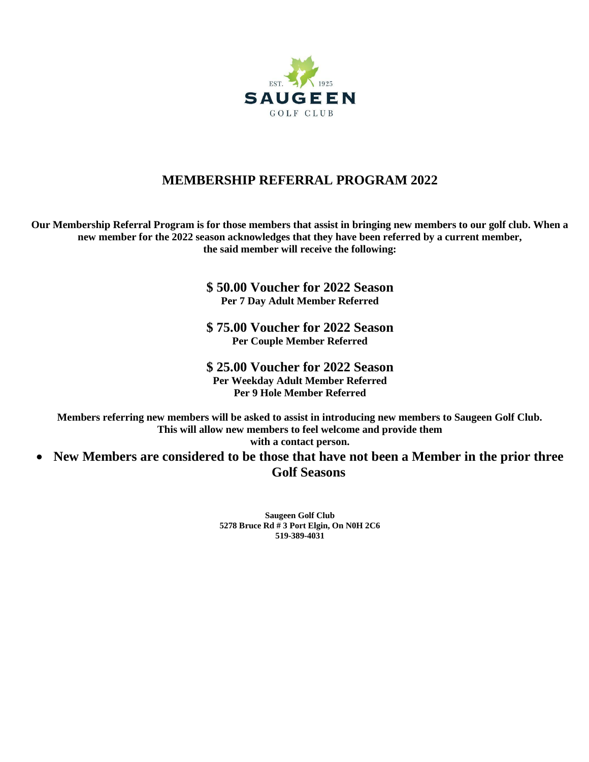

### **MEMBERSHIP REFERRAL PROGRAM 2022**

**Our Membership Referral Program is for those members that assist in bringing new members to our golf club. When a new member for the 2022 season acknowledges that they have been referred by a current member, the said member will receive the following:**

> **\$ 50.00 Voucher for 2022 Season Per 7 Day Adult Member Referred**

> **\$ 75.00 Voucher for 2022 Season Per Couple Member Referred**

> **\$ 25.00 Voucher for 2022 Season Per Weekday Adult Member Referred Per 9 Hole Member Referred**

**Members referring new members will be asked to assist in introducing new members to Saugeen Golf Club. This will allow new members to feel welcome and provide them** 

**with a contact person.**

 **New Members are considered to be those that have not been a Member in the prior three Golf Seasons**

> **Saugeen Golf Club 5278 Bruce Rd # 3 Port Elgin, On N0H 2C6 519-389-4031**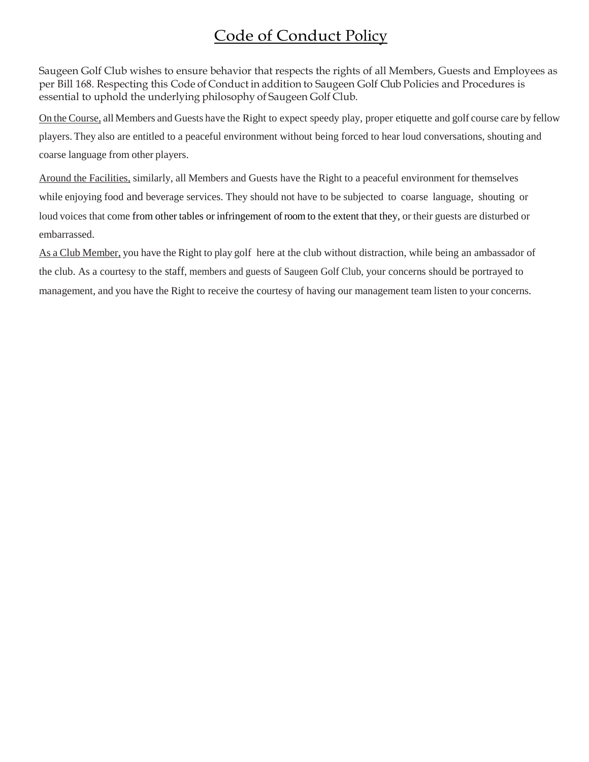### Code of Conduct Policy

Saugeen Golf Club wishes to ensure behavior that respects the rights of all Members, Guests and Employees as per Bill 168. Respecting this Code of Conduct in addition to Saugeen Golf Club Policies and Procedures is essential to uphold the underlying philosophy of Saugeen Golf Club.

On the Course, all Members and Guests have the Right to expect speedy play, proper etiquette and golf course care by fellow players. They also are entitled to a peaceful environment without being forced to hear loud conversations, shouting and coarse language from other players.

Around the Facilities, similarly, all Members and Guests have the Right to a peaceful environment for themselves while enjoying food and beverage services. They should not have to be subjected to coarse language, shouting or loud voices that come from other tables or infringement of room to the extent that they, or their guests are disturbed or embarrassed.

As a Club Member, you have the Right to play golf here at the club without distraction, while being an ambassador of the club. As a courtesy to the staff, members and guests of Saugeen Golf Club, your concerns should be portrayed to management, and you have the Right to receive the courtesy of having our management team listen to your concerns.